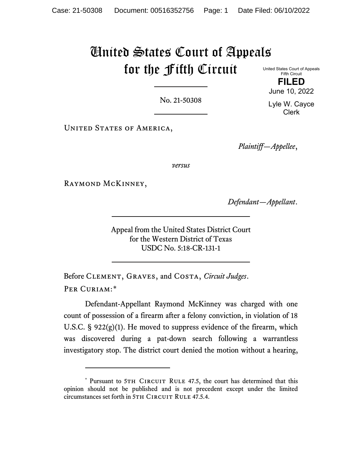## United States Court of Appeals for the Fifth Circuit United States Court of Appeals

No. 21-50308

UNITED STATES OF AMERICA,

*Plaintiff—Appellee*,

*versus*

Raymond McKinney,

*Defendant—Appellant*.

Appeal from the United States District Court for the Western District of Texas USDC No. 5:18-CR-131-1

Before Clement, Graves, and Costa, *Circuit Judges*. PER CURIAM:[\\*](#page-0-0)

Defendant-Appellant Raymond McKinney was charged with one count of possession of a firearm after a felony conviction, in violation of 18 U.S.C.  $\S$  922(g)(1). He moved to suppress evidence of the firearm, which was discovered during a pat-down search following a warrantless investigatory stop. The district court denied the motion without a hearing,

June 10, 2022 Lyle W. Cayce Clerk

Fifth Circuit **FILED**

<span id="page-0-0"></span><sup>\*</sup> Pursuant to 5TH CIRCUIT RULE 47.5, the court has determined that this opinion should not be published and is not precedent except under the limited circumstances set forth in 5TH CIRCUIT RULE 47.5.4.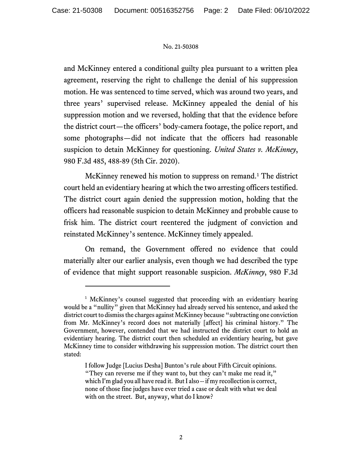## No. 21-50308

and McKinney entered a conditional guilty plea pursuant to a written plea agreement, reserving the right to challenge the denial of his suppression motion. He was sentenced to time served, which was around two years, and three years' supervised release. McKinney appealed the denial of his suppression motion and we reversed, holding that that the evidence before the district court—the officers' body-camera footage, the police report, and some photographs—did not indicate that the officers had reasonable suspicion to detain McKinney for questioning. *United States v. McKinney*, 980 F.3d 485, 488-89 (5th Cir. 2020).

McKinney renewed his motion to suppress on remand. [1](#page-1-0) The district court held an evidentiary hearing at which the two arresting officers testified. The district court again denied the suppression motion, holding that the officers had reasonable suspicion to detain McKinney and probable cause to frisk him. The district court reentered the judgment of conviction and reinstated McKinney's sentence. McKinney timely appealed.

On remand, the Government offered no evidence that could materially alter our earlier analysis, even though we had described the type of evidence that might support reasonable suspicion. *McKinney*, 980 F.3d

<span id="page-1-0"></span><sup>&</sup>lt;sup>1</sup> McKinney's counsel suggested that proceeding with an evidentiary hearing would be a "nullity" given that McKinney had already served his sentence, and asked the district court to dismiss the charges against McKinney because "subtracting one conviction from Mr. McKinney's record does not materially [affect] his criminal history." The Government, however, contended that we had instructed the district court to hold an evidentiary hearing. The district court then scheduled an evidentiary hearing, but gave McKinney time to consider withdrawing his suppression motion. The district court then stated:

I follow Judge [Lucius Desha] Bunton's rule about Fifth Circuit opinions. "They can reverse me if they want to, but they can't make me read it," which I'm glad you all have read it. But I also -- if my recollection is correct, none of those fine judges have ever tried a case or dealt with what we deal with on the street. But, anyway, what do I know?